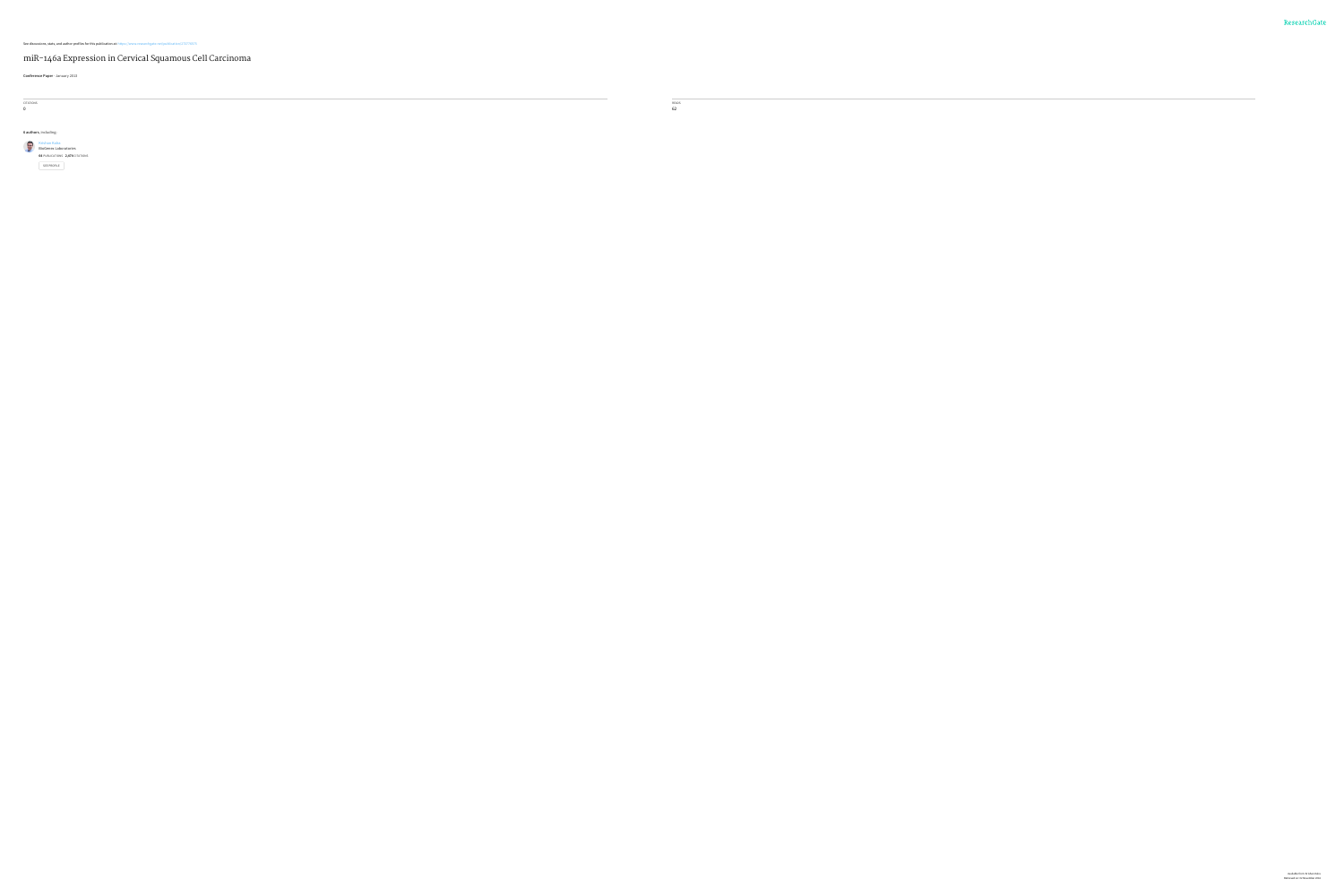### See discussions, stats, and author profiles for this publication at: [https://www.researchgate.net/publication/273776575](https://www.researchgate.net/publication/273776575_miR-146a_Expression_in_Cervical_Squamous_Cell_Carcinoma?enrichId=rgreq-bafc01d9a60ead9d4e67aee88a2faaf3-XXX&enrichSource=Y292ZXJQYWdlOzI3Mzc3NjU3NTtBUzoyMDk0MTExNDc2MDM5NjhAMTQyNjkzODkxNjAyMQ%3D%3D&el=1_x_2)

 $\sim$  0.000  $\sim$ READS 62

### miR-146a [Expression](https://www.researchgate.net/publication/273776575_miR-146a_Expression_in_Cervical_Squamous_Cell_Carcinoma?enrichId=rgreq-bafc01d9a60ead9d4e67aee88a2faaf3-XXX&enrichSource=Y292ZXJQYWdlOzI3Mzc3NjU3NTtBUzoyMDk0MTExNDc2MDM5NjhAMTQyNjkzODkxNjAyMQ%3D%3D&el=1_x_3) in Cervical Squamous Cell Carcinoma

**Conference Paper** · January 2013

CITATIONS 0

**6 authors**, including:

[Krishan](https://www.researchgate.net/profile/Krishan_Kalra?enrichId=rgreq-bafc01d9a60ead9d4e67aee88a2faaf3-XXX&enrichSource=Y292ZXJQYWdlOzI3Mzc3NjU3NTtBUzoyMDk0MTExNDc2MDM5NjhAMTQyNjkzODkxNjAyMQ%3D%3D&el=1_x_5) Kalra BioGenex [Laboratories](https://www.researchgate.net/institution/BioGenex_Laboratories?enrichId=rgreq-bafc01d9a60ead9d4e67aee88a2faaf3-XXX&enrichSource=Y292ZXJQYWdlOzI3Mzc3NjU3NTtBUzoyMDk0MTExNDc2MDM5NjhAMTQyNjkzODkxNjAyMQ%3D%3D&el=1_x_6) **64** PUBLICATIONS **2,474** CITATIONS SEE [PROFILE](https://www.researchgate.net/profile/Krishan_Kalra?enrichId=rgreq-bafc01d9a60ead9d4e67aee88a2faaf3-XXX&enrichSource=Y292ZXJQYWdlOzI3Mzc3NjU3NTtBUzoyMDk0MTExNDc2MDM5NjhAMTQyNjkzODkxNjAyMQ%3D%3D&el=1_x_7)

> Available from: Krishan Kalra Retrieved on: 02 November 2016